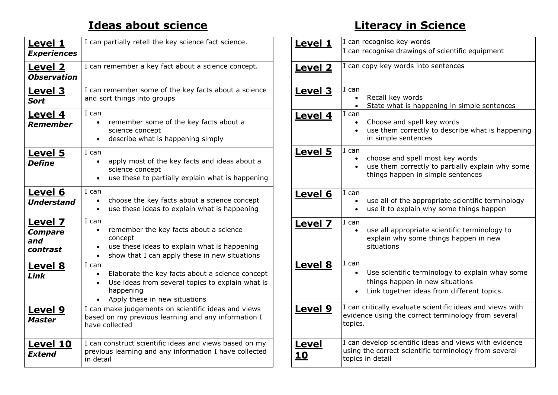## **Ideas about science**

| <b>Level 1</b><br><b>Experiences</b>         | I can partially retell the key science fact science.                                                                                                                                               |
|----------------------------------------------|----------------------------------------------------------------------------------------------------------------------------------------------------------------------------------------------------|
| <b>Level 2</b><br><b>Observation</b>         | I can remember a key fact about a science concept.                                                                                                                                                 |
| <u>Level 3</u><br><b>Sort</b>                | I can remember some of the key facts about a science<br>and sort things into groups                                                                                                                |
| Level 4<br>Remember                          | I can<br>remember some of the key facts about a<br>$\bullet$<br>science concept<br>describe what is happening simply<br>$\bullet$                                                                  |
| <b>Level 5</b><br><b>Define</b>              | I can<br>apply most of the key facts and ideas about a<br>science concept<br>use these to partially explain what is happening<br>$\bullet$                                                         |
| <u>Level 6</u><br><b>Understand</b>          | I can<br>choose the key facts about a science concept<br>use these ideas to explain what is happening<br>$\bullet$                                                                                 |
| Level 7<br><b>Compare</b><br>and<br>contrast | I can<br>remember the key facts about a science<br>$\bullet$<br>concept<br>use these ideas to explain what is happening<br>$\bullet$<br>show that I can apply these in new situations<br>$\bullet$ |
| <b>Level 8</b><br>Link                       | I can<br>Elaborate the key facts about a science concept<br>$\bullet$<br>Use ideas from several topics to explain what is<br>$\bullet$<br>happening<br>Apply these in new situations               |
| <b>Level 9</b><br><b>Master</b>              | I can make judgements on scientific ideas and views<br>based on my previous learning and any information I<br>have collected                                                                       |
| <u>Level 10</u><br><b>Extend</b>             | I can construct scientific ideas and views based on my<br>previous learning and any information I have collected<br>in detail                                                                      |

## **Literacy in Science**

| <b>Level 1</b>     | I can recognise key words                                                                                                                                           |
|--------------------|---------------------------------------------------------------------------------------------------------------------------------------------------------------------|
|                    | I can recognise drawings of scientific equipment                                                                                                                    |
| <u>Level 2</u>     | I can copy key words into sentences                                                                                                                                 |
| <b>Level 3</b>     | I can<br>Recall key words<br>$\bullet$<br>State what is happening in simple sentences<br>$\bullet$                                                                  |
| <b>Level 4</b>     | I can<br>Choose and spell key words<br>$\bullet$<br>use them correctly to describe what is happening<br>$\bullet$<br>in simple sentences                            |
| <b>Level 5</b>     | I can<br>choose and spell most key words<br>use them correctly to partially explain why some<br>$\bullet$<br>things happen in simple sentences                      |
| Level 6            | I can<br>use all of the appropriate scientific terminology<br>$\bullet$<br>use it to explain why some things happen<br>$\bullet$                                    |
| <b>Level 7</b>     | I can<br>use all appropriate scientific terminology to<br>explain why some things happen in new<br>situations                                                       |
| <b>Level 8</b>     | I can<br>Use scientific terminology to explain whay some<br>$\bullet$<br>things happen in new situations<br>Link together ideas from different topics.<br>$\bullet$ |
| <b>Level 9</b>     | I can critically evaluate scientific ideas and views with<br>evidence using the correct terminology from several<br>topics.                                         |
| <u>Level</u><br>10 | I can develop scientific ideas and views with evidence<br>using the correct scientific terminology from several<br>topics in detail                                 |